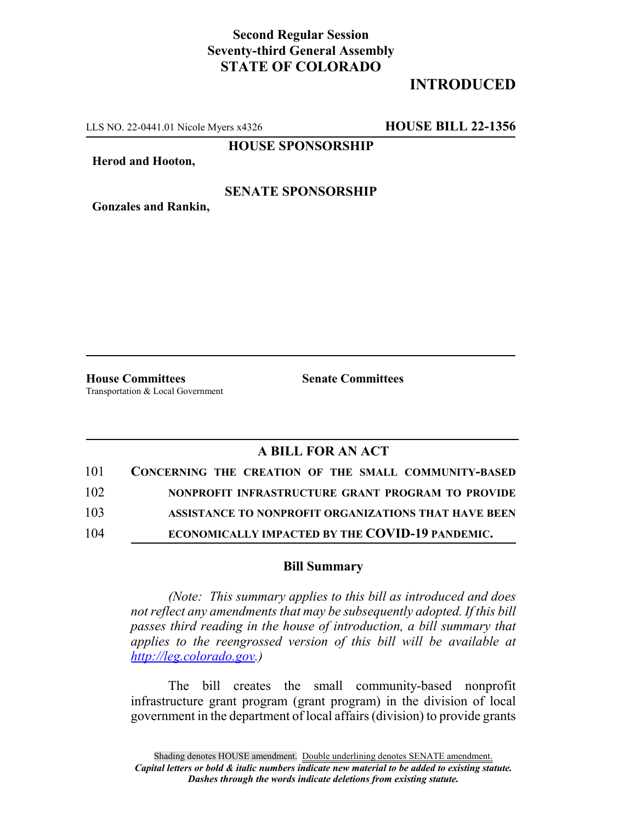## **Second Regular Session Seventy-third General Assembly STATE OF COLORADO**

# **INTRODUCED**

LLS NO. 22-0441.01 Nicole Myers x4326 **HOUSE BILL 22-1356**

**HOUSE SPONSORSHIP**

**Herod and Hooton,**

#### **SENATE SPONSORSHIP**

**Gonzales and Rankin,**

**House Committees Senate Committees** Transportation & Local Government

### **A BILL FOR AN ACT**

| 101 | CONCERNING THE CREATION OF THE SMALL COMMUNITY-BASED |
|-----|------------------------------------------------------|
| 102 | NONPROFIT INFRASTRUCTURE GRANT PROGRAM TO PROVIDE    |
| 103 | ASSISTANCE TO NONPROFIT ORGANIZATIONS THAT HAVE BEEN |
| 104 | ECONOMICALLY IMPACTED BY THE COVID-19 PANDEMIC.      |

#### **Bill Summary**

*(Note: This summary applies to this bill as introduced and does not reflect any amendments that may be subsequently adopted. If this bill passes third reading in the house of introduction, a bill summary that applies to the reengrossed version of this bill will be available at http://leg.colorado.gov.)*

The bill creates the small community-based nonprofit infrastructure grant program (grant program) in the division of local government in the department of local affairs (division) to provide grants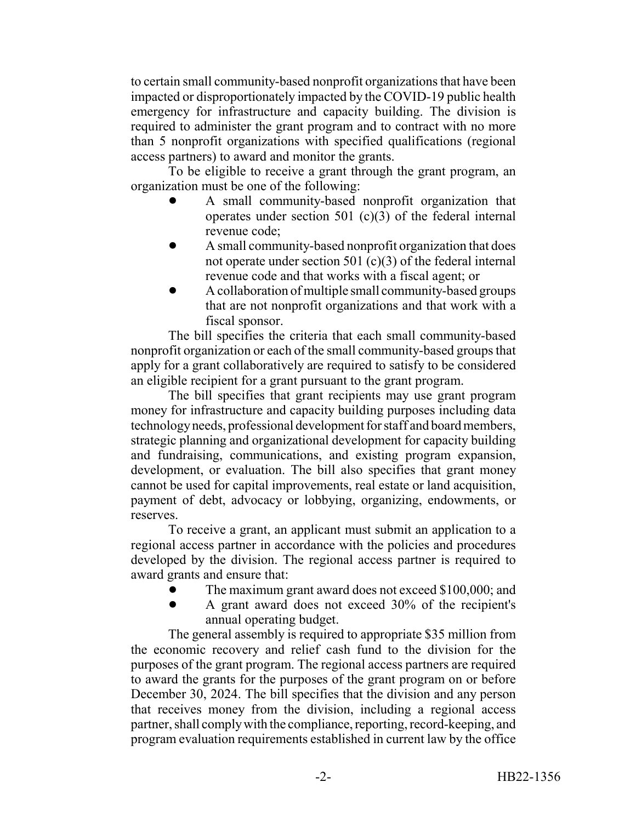to certain small community-based nonprofit organizations that have been impacted or disproportionately impacted by the COVID-19 public health emergency for infrastructure and capacity building. The division is required to administer the grant program and to contract with no more than 5 nonprofit organizations with specified qualifications (regional access partners) to award and monitor the grants.

To be eligible to receive a grant through the grant program, an organization must be one of the following:

- ! A small community-based nonprofit organization that operates under section 501  $(c)(3)$  of the federal internal revenue code;
- ! A small community-based nonprofit organization that does not operate under section 501 (c)(3) of the federal internal revenue code and that works with a fiscal agent; or
- ! A collaboration of multiple small community-based groups that are not nonprofit organizations and that work with a fiscal sponsor.

The bill specifies the criteria that each small community-based nonprofit organization or each of the small community-based groups that apply for a grant collaboratively are required to satisfy to be considered an eligible recipient for a grant pursuant to the grant program.

The bill specifies that grant recipients may use grant program money for infrastructure and capacity building purposes including data technology needs, professional development for staff and board members, strategic planning and organizational development for capacity building and fundraising, communications, and existing program expansion, development, or evaluation. The bill also specifies that grant money cannot be used for capital improvements, real estate or land acquisition, payment of debt, advocacy or lobbying, organizing, endowments, or reserves.

To receive a grant, an applicant must submit an application to a regional access partner in accordance with the policies and procedures developed by the division. The regional access partner is required to award grants and ensure that:

- The maximum grant award does not exceed \$100,000; and
- ! A grant award does not exceed 30% of the recipient's annual operating budget.

The general assembly is required to appropriate \$35 million from the economic recovery and relief cash fund to the division for the purposes of the grant program. The regional access partners are required to award the grants for the purposes of the grant program on or before December 30, 2024. The bill specifies that the division and any person that receives money from the division, including a regional access partner, shall comply with the compliance, reporting, record-keeping, and program evaluation requirements established in current law by the office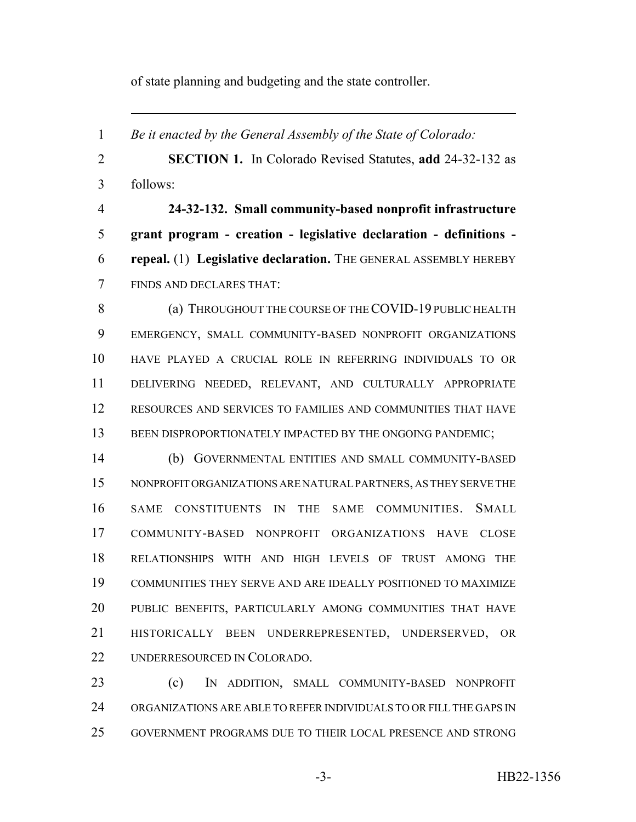of state planning and budgeting and the state controller.

 *Be it enacted by the General Assembly of the State of Colorado:* **SECTION 1.** In Colorado Revised Statutes, **add** 24-32-132 as follows: **24-32-132. Small community-based nonprofit infrastructure grant program - creation - legislative declaration - definitions - repeal.** (1) **Legislative declaration.** THE GENERAL ASSEMBLY HEREBY FINDS AND DECLARES THAT: **(a) THROUGHOUT THE COURSE OF THE COVID-19 PUBLIC HEALTH**  EMERGENCY, SMALL COMMUNITY-BASED NONPROFIT ORGANIZATIONS HAVE PLAYED A CRUCIAL ROLE IN REFERRING INDIVIDUALS TO OR DELIVERING NEEDED, RELEVANT, AND CULTURALLY APPROPRIATE RESOURCES AND SERVICES TO FAMILIES AND COMMUNITIES THAT HAVE 13 BEEN DISPROPORTIONATELY IMPACTED BY THE ONGOING PANDEMIC; (b) GOVERNMENTAL ENTITIES AND SMALL COMMUNITY-BASED NONPROFIT ORGANIZATIONS ARE NATURAL PARTNERS, AS THEY SERVE THE SAME CONSTITUENTS IN THE SAME COMMUNITIES. SMALL COMMUNITY-BASED NONPROFIT ORGANIZATIONS HAVE CLOSE RELATIONSHIPS WITH AND HIGH LEVELS OF TRUST AMONG THE COMMUNITIES THEY SERVE AND ARE IDEALLY POSITIONED TO MAXIMIZE PUBLIC BENEFITS, PARTICULARLY AMONG COMMUNITIES THAT HAVE HISTORICALLY BEEN UNDERREPRESENTED, UNDERSERVED, OR UNDERRESOURCED IN COLORADO. (c) IN ADDITION, SMALL COMMUNITY-BASED NONPROFIT ORGANIZATIONS ARE ABLE TO REFER INDIVIDUALS TO OR FILL THE GAPS IN GOVERNMENT PROGRAMS DUE TO THEIR LOCAL PRESENCE AND STRONG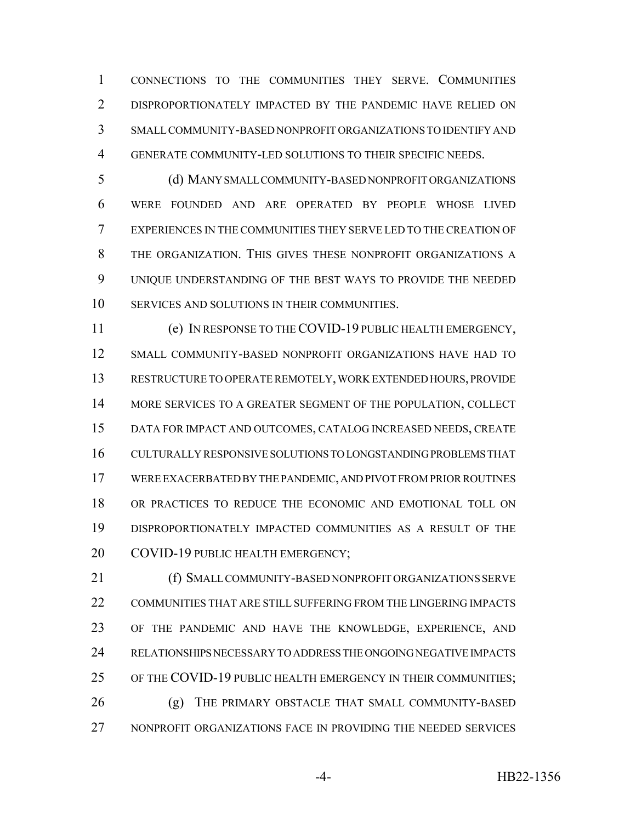CONNECTIONS TO THE COMMUNITIES THEY SERVE. COMMUNITIES DISPROPORTIONATELY IMPACTED BY THE PANDEMIC HAVE RELIED ON SMALL COMMUNITY-BASED NONPROFIT ORGANIZATIONS TO IDENTIFY AND GENERATE COMMUNITY-LED SOLUTIONS TO THEIR SPECIFIC NEEDS.

 (d) MANY SMALL COMMUNITY-BASED NONPROFIT ORGANIZATIONS WERE FOUNDED AND ARE OPERATED BY PEOPLE WHOSE LIVED EXPERIENCES IN THE COMMUNITIES THEY SERVE LED TO THE CREATION OF THE ORGANIZATION. THIS GIVES THESE NONPROFIT ORGANIZATIONS A UNIQUE UNDERSTANDING OF THE BEST WAYS TO PROVIDE THE NEEDED SERVICES AND SOLUTIONS IN THEIR COMMUNITIES.

 (e) IN RESPONSE TO THE COVID-19 PUBLIC HEALTH EMERGENCY, SMALL COMMUNITY-BASED NONPROFIT ORGANIZATIONS HAVE HAD TO RESTRUCTURE TO OPERATE REMOTELY, WORK EXTENDED HOURS, PROVIDE MORE SERVICES TO A GREATER SEGMENT OF THE POPULATION, COLLECT DATA FOR IMPACT AND OUTCOMES, CATALOG INCREASED NEEDS, CREATE CULTURALLY RESPONSIVE SOLUTIONS TO LONGSTANDING PROBLEMS THAT WERE EXACERBATED BY THE PANDEMIC, AND PIVOT FROM PRIOR ROUTINES OR PRACTICES TO REDUCE THE ECONOMIC AND EMOTIONAL TOLL ON DISPROPORTIONATELY IMPACTED COMMUNITIES AS A RESULT OF THE 20 COVID-19 PUBLIC HEALTH EMERGENCY;

 (f) SMALL COMMUNITY-BASED NONPROFIT ORGANIZATIONS SERVE COMMUNITIES THAT ARE STILL SUFFERING FROM THE LINGERING IMPACTS OF THE PANDEMIC AND HAVE THE KNOWLEDGE, EXPERIENCE, AND RELATIONSHIPS NECESSARY TO ADDRESS THE ONGOING NEGATIVE IMPACTS OF THE COVID-19 PUBLIC HEALTH EMERGENCY IN THEIR COMMUNITIES; (g) THE PRIMARY OBSTACLE THAT SMALL COMMUNITY-BASED NONPROFIT ORGANIZATIONS FACE IN PROVIDING THE NEEDED SERVICES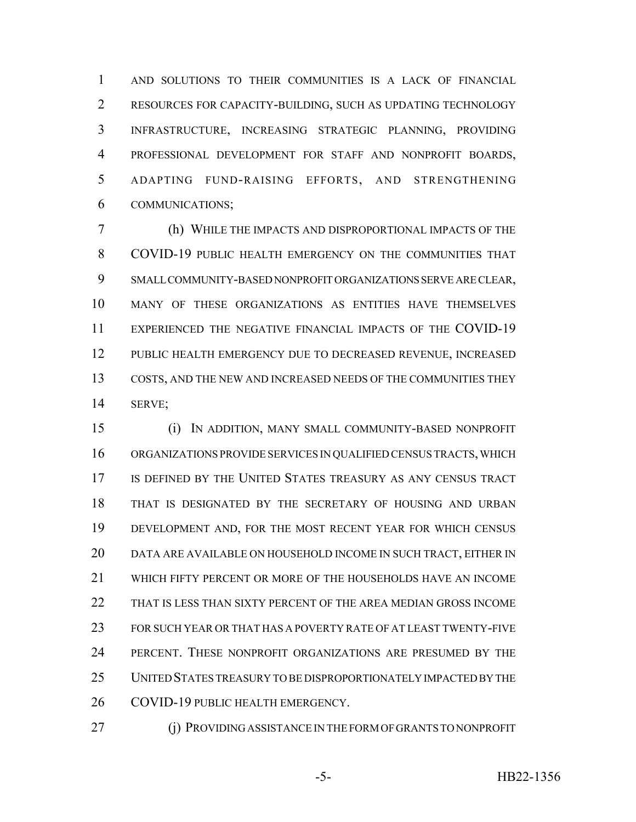AND SOLUTIONS TO THEIR COMMUNITIES IS A LACK OF FINANCIAL RESOURCES FOR CAPACITY-BUILDING, SUCH AS UPDATING TECHNOLOGY INFRASTRUCTURE, INCREASING STRATEGIC PLANNING, PROVIDING PROFESSIONAL DEVELOPMENT FOR STAFF AND NONPROFIT BOARDS, ADAPTING FUND-RAISING EFFORTS, AND STRENGTHENING COMMUNICATIONS;

 (h) WHILE THE IMPACTS AND DISPROPORTIONAL IMPACTS OF THE COVID-19 PUBLIC HEALTH EMERGENCY ON THE COMMUNITIES THAT SMALL COMMUNITY-BASED NONPROFIT ORGANIZATIONS SERVE ARE CLEAR, MANY OF THESE ORGANIZATIONS AS ENTITIES HAVE THEMSELVES EXPERIENCED THE NEGATIVE FINANCIAL IMPACTS OF THE COVID-19 PUBLIC HEALTH EMERGENCY DUE TO DECREASED REVENUE, INCREASED COSTS, AND THE NEW AND INCREASED NEEDS OF THE COMMUNITIES THEY SERVE;

 (i) IN ADDITION, MANY SMALL COMMUNITY-BASED NONPROFIT ORGANIZATIONS PROVIDE SERVICES IN QUALIFIED CENSUS TRACTS, WHICH IS DEFINED BY THE UNITED STATES TREASURY AS ANY CENSUS TRACT THAT IS DESIGNATED BY THE SECRETARY OF HOUSING AND URBAN 19 DEVELOPMENT AND, FOR THE MOST RECENT YEAR FOR WHICH CENSUS DATA ARE AVAILABLE ON HOUSEHOLD INCOME IN SUCH TRACT, EITHER IN WHICH FIFTY PERCENT OR MORE OF THE HOUSEHOLDS HAVE AN INCOME THAT IS LESS THAN SIXTY PERCENT OF THE AREA MEDIAN GROSS INCOME FOR SUCH YEAR OR THAT HAS A POVERTY RATE OF AT LEAST TWENTY-FIVE PERCENT. THESE NONPROFIT ORGANIZATIONS ARE PRESUMED BY THE UNITED STATES TREASURY TO BE DISPROPORTIONATELY IMPACTED BY THE 26 COVID-19 PUBLIC HEALTH EMERGENCY.

- 
- 27 (j) PROVIDING ASSISTANCE IN THE FORM OF GRANTS TO NONPROFIT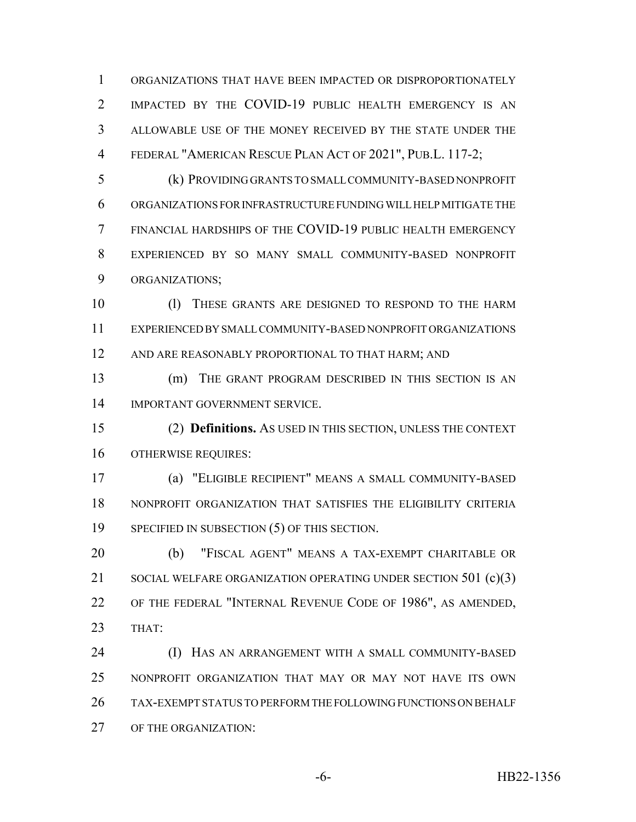ORGANIZATIONS THAT HAVE BEEN IMPACTED OR DISPROPORTIONATELY 2 IMPACTED BY THE COVID-19 PUBLIC HEALTH EMERGENCY IS AN ALLOWABLE USE OF THE MONEY RECEIVED BY THE STATE UNDER THE FEDERAL "AMERICAN RESCUE PLAN ACT OF 2021", PUB.L. 117-2;

 (k) PROVIDING GRANTS TO SMALL COMMUNITY-BASED NONPROFIT ORGANIZATIONS FOR INFRASTRUCTURE FUNDING WILL HELP MITIGATE THE FINANCIAL HARDSHIPS OF THE COVID-19 PUBLIC HEALTH EMERGENCY EXPERIENCED BY SO MANY SMALL COMMUNITY-BASED NONPROFIT ORGANIZATIONS;

 (l) THESE GRANTS ARE DESIGNED TO RESPOND TO THE HARM EXPERIENCED BY SMALL COMMUNITY-BASED NONPROFIT ORGANIZATIONS 12 AND ARE REASONABLY PROPORTIONAL TO THAT HARM; AND

 (m) THE GRANT PROGRAM DESCRIBED IN THIS SECTION IS AN IMPORTANT GOVERNMENT SERVICE.

 (2) **Definitions.** AS USED IN THIS SECTION, UNLESS THE CONTEXT OTHERWISE REQUIRES:

 (a) "ELIGIBLE RECIPIENT" MEANS A SMALL COMMUNITY-BASED NONPROFIT ORGANIZATION THAT SATISFIES THE ELIGIBILITY CRITERIA SPECIFIED IN SUBSECTION (5) OF THIS SECTION.

 (b) "FISCAL AGENT" MEANS A TAX-EXEMPT CHARITABLE OR 21 SOCIAL WELFARE ORGANIZATION OPERATING UNDER SECTION 501 (c)(3) OF THE FEDERAL "INTERNAL REVENUE CODE OF 1986", AS AMENDED, THAT:

 (I) HAS AN ARRANGEMENT WITH A SMALL COMMUNITY-BASED NONPROFIT ORGANIZATION THAT MAY OR MAY NOT HAVE ITS OWN TAX-EXEMPT STATUS TO PERFORM THE FOLLOWING FUNCTIONS ON BEHALF OF THE ORGANIZATION: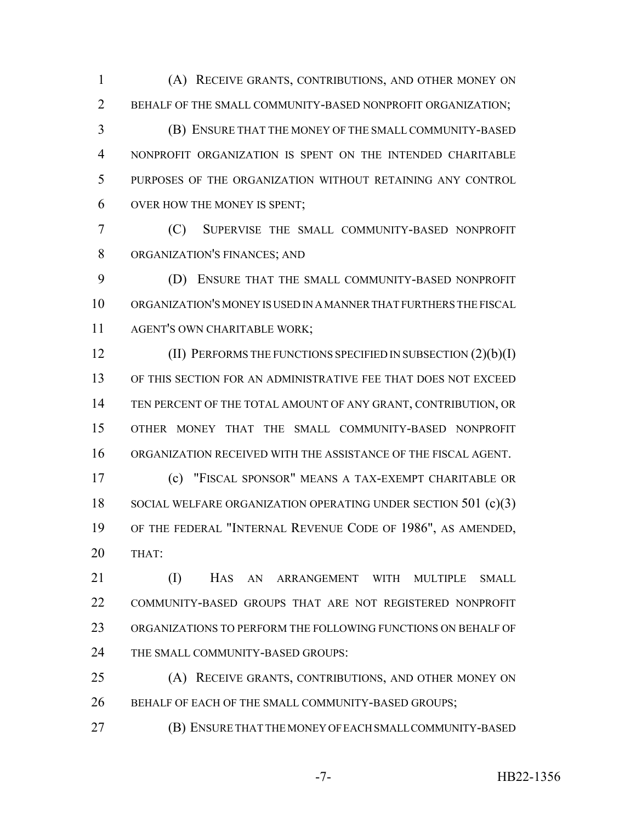(A) RECEIVE GRANTS, CONTRIBUTIONS, AND OTHER MONEY ON BEHALF OF THE SMALL COMMUNITY-BASED NONPROFIT ORGANIZATION;

 (B) ENSURE THAT THE MONEY OF THE SMALL COMMUNITY-BASED NONPROFIT ORGANIZATION IS SPENT ON THE INTENDED CHARITABLE PURPOSES OF THE ORGANIZATION WITHOUT RETAINING ANY CONTROL OVER HOW THE MONEY IS SPENT;

 (C) SUPERVISE THE SMALL COMMUNITY-BASED NONPROFIT ORGANIZATION'S FINANCES; AND

 (D) ENSURE THAT THE SMALL COMMUNITY-BASED NONPROFIT ORGANIZATION'S MONEY IS USED IN A MANNER THAT FURTHERS THE FISCAL AGENT'S OWN CHARITABLE WORK;

**(II) PERFORMS THE FUNCTIONS SPECIFIED IN SUBSECTION (2)(b)(I)**  OF THIS SECTION FOR AN ADMINISTRATIVE FEE THAT DOES NOT EXCEED TEN PERCENT OF THE TOTAL AMOUNT OF ANY GRANT, CONTRIBUTION, OR OTHER MONEY THAT THE SMALL COMMUNITY-BASED NONPROFIT ORGANIZATION RECEIVED WITH THE ASSISTANCE OF THE FISCAL AGENT.

 (c) "FISCAL SPONSOR" MEANS A TAX-EXEMPT CHARITABLE OR 18 SOCIAL WELFARE ORGANIZATION OPERATING UNDER SECTION 501 (c)(3) OF THE FEDERAL "INTERNAL REVENUE CODE OF 1986", AS AMENDED, THAT:

 (I) HAS AN ARRANGEMENT WITH MULTIPLE SMALL COMMUNITY-BASED GROUPS THAT ARE NOT REGISTERED NONPROFIT ORGANIZATIONS TO PERFORM THE FOLLOWING FUNCTIONS ON BEHALF OF 24 THE SMALL COMMUNITY-BASED GROUPS:

 (A) RECEIVE GRANTS, CONTRIBUTIONS, AND OTHER MONEY ON 26 BEHALF OF EACH OF THE SMALL COMMUNITY-BASED GROUPS;

(B) ENSURE THAT THE MONEY OF EACH SMALL COMMUNITY-BASED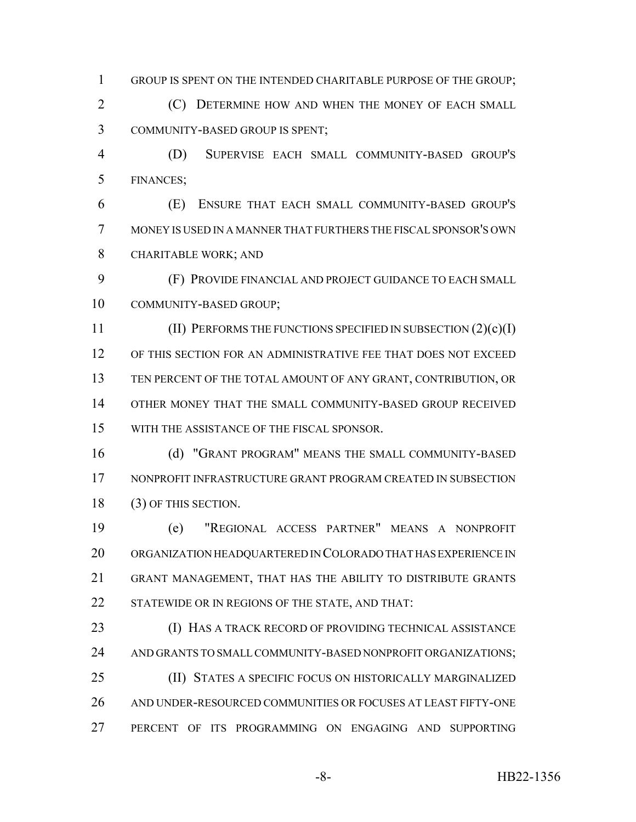GROUP IS SPENT ON THE INTENDED CHARITABLE PURPOSE OF THE GROUP;

 (C) DETERMINE HOW AND WHEN THE MONEY OF EACH SMALL COMMUNITY-BASED GROUP IS SPENT;

 (D) SUPERVISE EACH SMALL COMMUNITY-BASED GROUP'S FINANCES;

 (E) ENSURE THAT EACH SMALL COMMUNITY-BASED GROUP'S MONEY IS USED IN A MANNER THAT FURTHERS THE FISCAL SPONSOR'S OWN CHARITABLE WORK; AND

 (F) PROVIDE FINANCIAL AND PROJECT GUIDANCE TO EACH SMALL COMMUNITY-BASED GROUP;

11 (II) PERFORMS THE FUNCTIONS SPECIFIED IN SUBSECTION (2)(c)(I) OF THIS SECTION FOR AN ADMINISTRATIVE FEE THAT DOES NOT EXCEED TEN PERCENT OF THE TOTAL AMOUNT OF ANY GRANT, CONTRIBUTION, OR OTHER MONEY THAT THE SMALL COMMUNITY-BASED GROUP RECEIVED WITH THE ASSISTANCE OF THE FISCAL SPONSOR.

 (d) "GRANT PROGRAM" MEANS THE SMALL COMMUNITY-BASED NONPROFIT INFRASTRUCTURE GRANT PROGRAM CREATED IN SUBSECTION 18 (3) OF THIS SECTION.

 (e) "REGIONAL ACCESS PARTNER" MEANS A NONPROFIT ORGANIZATION HEADQUARTERED IN COLORADO THAT HAS EXPERIENCE IN GRANT MANAGEMENT, THAT HAS THE ABILITY TO DISTRIBUTE GRANTS 22 STATEWIDE OR IN REGIONS OF THE STATE, AND THAT:

 (I) HAS A TRACK RECORD OF PROVIDING TECHNICAL ASSISTANCE 24 AND GRANTS TO SMALL COMMUNITY-BASED NONPROFIT ORGANIZATIONS; (II) STATES A SPECIFIC FOCUS ON HISTORICALLY MARGINALIZED AND UNDER-RESOURCED COMMUNITIES OR FOCUSES AT LEAST FIFTY-ONE PERCENT OF ITS PROGRAMMING ON ENGAGING AND SUPPORTING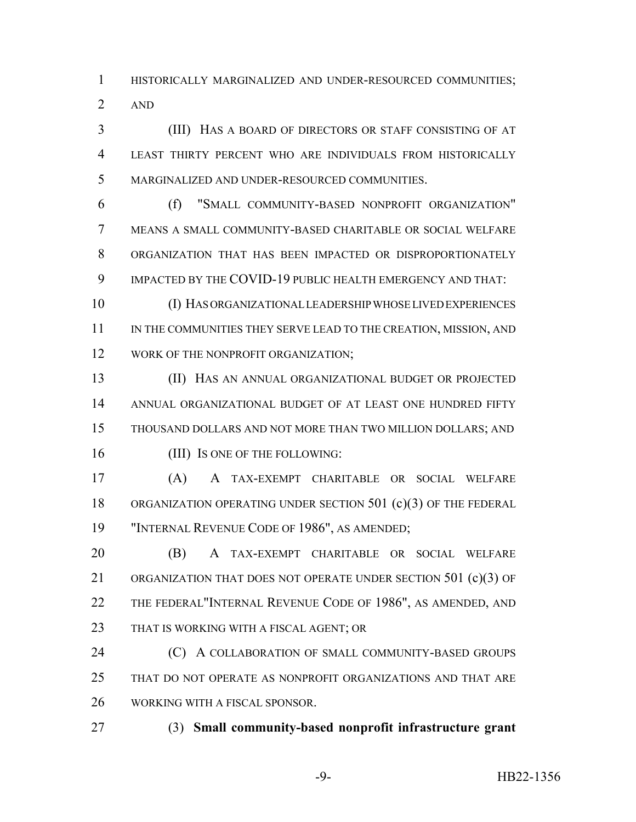HISTORICALLY MARGINALIZED AND UNDER-RESOURCED COMMUNITIES; AND

 (III) HAS A BOARD OF DIRECTORS OR STAFF CONSISTING OF AT LEAST THIRTY PERCENT WHO ARE INDIVIDUALS FROM HISTORICALLY MARGINALIZED AND UNDER-RESOURCED COMMUNITIES.

 (f) "SMALL COMMUNITY-BASED NONPROFIT ORGANIZATION" MEANS A SMALL COMMUNITY-BASED CHARITABLE OR SOCIAL WELFARE ORGANIZATION THAT HAS BEEN IMPACTED OR DISPROPORTIONATELY IMPACTED BY THE COVID-19 PUBLIC HEALTH EMERGENCY AND THAT:

 (I) HAS ORGANIZATIONAL LEADERSHIP WHOSE LIVED EXPERIENCES 11 IN THE COMMUNITIES THEY SERVE LEAD TO THE CREATION, MISSION, AND 12 WORK OF THE NONPROFIT ORGANIZATION;

 (II) HAS AN ANNUAL ORGANIZATIONAL BUDGET OR PROJECTED ANNUAL ORGANIZATIONAL BUDGET OF AT LEAST ONE HUNDRED FIFTY THOUSAND DOLLARS AND NOT MORE THAN TWO MILLION DOLLARS; AND 16 (III) Is one of the following:

 (A) A TAX-EXEMPT CHARITABLE OR SOCIAL WELFARE 18 ORGANIZATION OPERATING UNDER SECTION 501 (c)(3) OF THE FEDERAL "INTERNAL REVENUE CODE OF 1986", AS AMENDED;

 (B) A TAX-EXEMPT CHARITABLE OR SOCIAL WELFARE 21 ORGANIZATION THAT DOES NOT OPERATE UNDER SECTION 501 (c)(3) OF 22 THE FEDERAL"INTERNAL REVENUE CODE OF 1986", AS AMENDED, AND 23 THAT IS WORKING WITH A FISCAL AGENT; OR

**(C)** A COLLABORATION OF SMALL COMMUNITY-BASED GROUPS THAT DO NOT OPERATE AS NONPROFIT ORGANIZATIONS AND THAT ARE WORKING WITH A FISCAL SPONSOR.

(3) **Small community-based nonprofit infrastructure grant**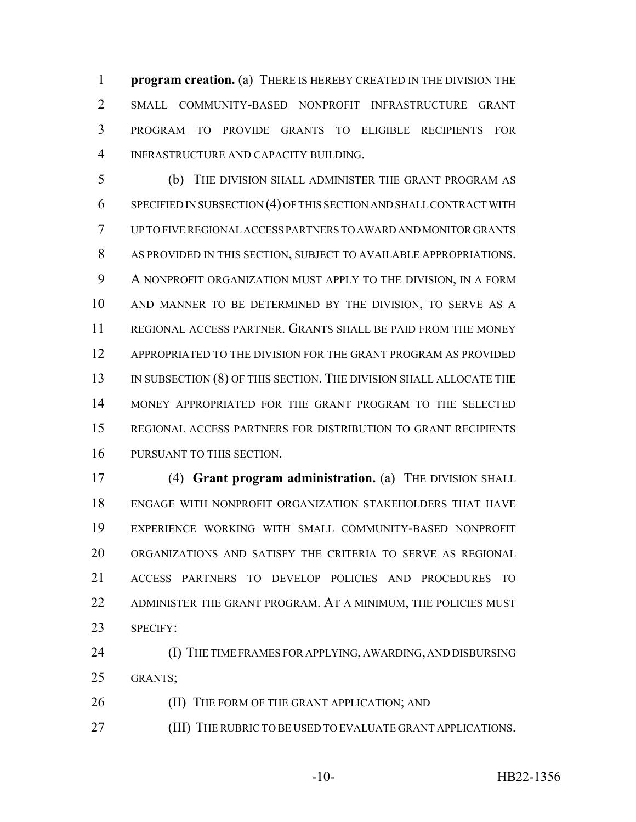**program creation.** (a) THERE IS HEREBY CREATED IN THE DIVISION THE SMALL COMMUNITY-BASED NONPROFIT INFRASTRUCTURE GRANT PROGRAM TO PROVIDE GRANTS TO ELIGIBLE RECIPIENTS FOR INFRASTRUCTURE AND CAPACITY BUILDING.

 (b) THE DIVISION SHALL ADMINISTER THE GRANT PROGRAM AS SPECIFIED IN SUBSECTION (4) OF THIS SECTION AND SHALL CONTRACT WITH UP TO FIVE REGIONAL ACCESS PARTNERS TO AWARD AND MONITOR GRANTS AS PROVIDED IN THIS SECTION, SUBJECT TO AVAILABLE APPROPRIATIONS. A NONPROFIT ORGANIZATION MUST APPLY TO THE DIVISION, IN A FORM AND MANNER TO BE DETERMINED BY THE DIVISION, TO SERVE AS A REGIONAL ACCESS PARTNER. GRANTS SHALL BE PAID FROM THE MONEY APPROPRIATED TO THE DIVISION FOR THE GRANT PROGRAM AS PROVIDED 13 IN SUBSECTION (8) OF THIS SECTION. THE DIVISION SHALL ALLOCATE THE MONEY APPROPRIATED FOR THE GRANT PROGRAM TO THE SELECTED REGIONAL ACCESS PARTNERS FOR DISTRIBUTION TO GRANT RECIPIENTS PURSUANT TO THIS SECTION.

 (4) **Grant program administration.** (a) THE DIVISION SHALL ENGAGE WITH NONPROFIT ORGANIZATION STAKEHOLDERS THAT HAVE EXPERIENCE WORKING WITH SMALL COMMUNITY-BASED NONPROFIT ORGANIZATIONS AND SATISFY THE CRITERIA TO SERVE AS REGIONAL ACCESS PARTNERS TO DEVELOP POLICIES AND PROCEDURES TO ADMINISTER THE GRANT PROGRAM. AT A MINIMUM, THE POLICIES MUST SPECIFY:

 (I) THE TIME FRAMES FOR APPLYING, AWARDING, AND DISBURSING GRANTS;

**(II) THE FORM OF THE GRANT APPLICATION; AND** 

27 (III) THE RUBRIC TO BE USED TO EVALUATE GRANT APPLICATIONS.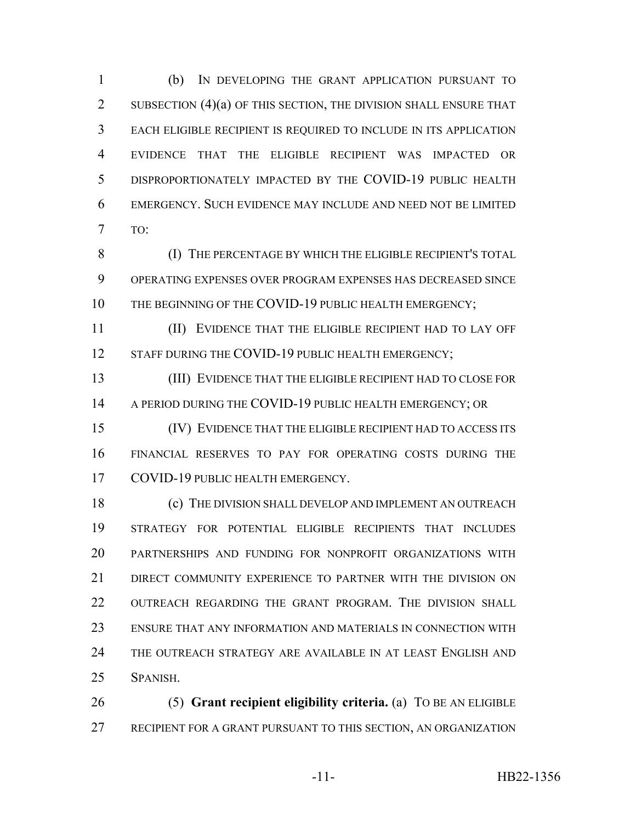(b) IN DEVELOPING THE GRANT APPLICATION PURSUANT TO 2 SUBSECTION (4)(a) OF THIS SECTION, THE DIVISION SHALL ENSURE THAT EACH ELIGIBLE RECIPIENT IS REQUIRED TO INCLUDE IN ITS APPLICATION EVIDENCE THAT THE ELIGIBLE RECIPIENT WAS IMPACTED OR DISPROPORTIONATELY IMPACTED BY THE COVID-19 PUBLIC HEALTH EMERGENCY. SUCH EVIDENCE MAY INCLUDE AND NEED NOT BE LIMITED TO:

 (I) THE PERCENTAGE BY WHICH THE ELIGIBLE RECIPIENT'S TOTAL OPERATING EXPENSES OVER PROGRAM EXPENSES HAS DECREASED SINCE 10 THE BEGINNING OF THE COVID-19 PUBLIC HEALTH EMERGENCY:

 (II) EVIDENCE THAT THE ELIGIBLE RECIPIENT HAD TO LAY OFF 12 STAFF DURING THE COVID-19 PUBLIC HEALTH EMERGENCY;

 (III) EVIDENCE THAT THE ELIGIBLE RECIPIENT HAD TO CLOSE FOR 14 A PERIOD DURING THE COVID-19 PUBLIC HEALTH EMERGENCY; OR

 (IV) EVIDENCE THAT THE ELIGIBLE RECIPIENT HAD TO ACCESS ITS FINANCIAL RESERVES TO PAY FOR OPERATING COSTS DURING THE 17 COVID-19 PUBLIC HEALTH EMERGENCY.

 (c) THE DIVISION SHALL DEVELOP AND IMPLEMENT AN OUTREACH STRATEGY FOR POTENTIAL ELIGIBLE RECIPIENTS THAT INCLUDES PARTNERSHIPS AND FUNDING FOR NONPROFIT ORGANIZATIONS WITH 21 DIRECT COMMUNITY EXPERIENCE TO PARTNER WITH THE DIVISION ON 22 OUTREACH REGARDING THE GRANT PROGRAM. THE DIVISION SHALL ENSURE THAT ANY INFORMATION AND MATERIALS IN CONNECTION WITH THE OUTREACH STRATEGY ARE AVAILABLE IN AT LEAST ENGLISH AND SPANISH.

 (5) **Grant recipient eligibility criteria.** (a) TO BE AN ELIGIBLE RECIPIENT FOR A GRANT PURSUANT TO THIS SECTION, AN ORGANIZATION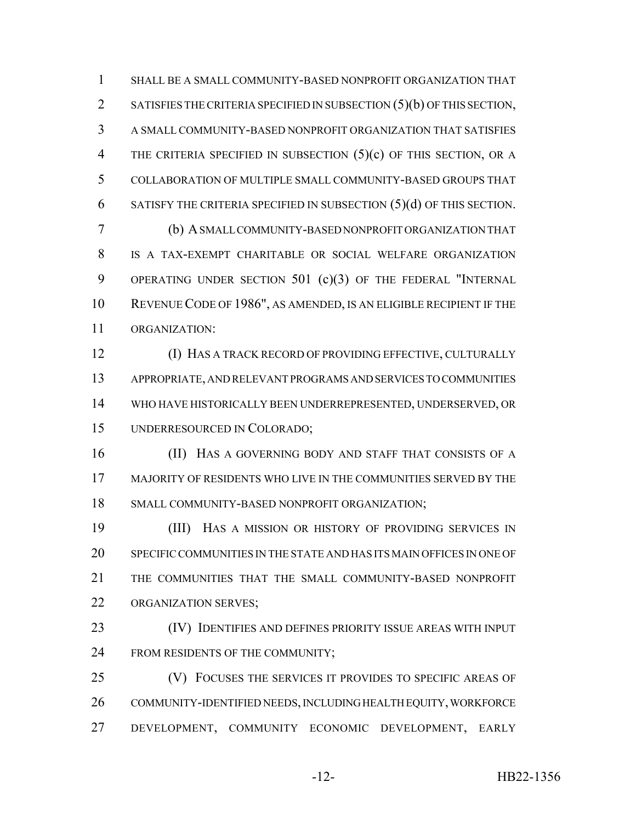SHALL BE A SMALL COMMUNITY-BASED NONPROFIT ORGANIZATION THAT 2 SATISFIES THE CRITERIA SPECIFIED IN SUBSECTION (5)(b) OF THIS SECTION, A SMALL COMMUNITY-BASED NONPROFIT ORGANIZATION THAT SATISFIES 4 THE CRITERIA SPECIFIED IN SUBSECTION (5)(c) OF THIS SECTION, OR A COLLABORATION OF MULTIPLE SMALL COMMUNITY-BASED GROUPS THAT SATISFY THE CRITERIA SPECIFIED IN SUBSECTION (5)(d) OF THIS SECTION. (b) A SMALL COMMUNITY-BASED NONPROFIT ORGANIZATION THAT IS A TAX-EXEMPT CHARITABLE OR SOCIAL WELFARE ORGANIZATION 9 OPERATING UNDER SECTION 501 (c)(3) OF THE FEDERAL "INTERNAL REVENUE CODE OF 1986", AS AMENDED, IS AN ELIGIBLE RECIPIENT IF THE ORGANIZATION: (I) HAS A TRACK RECORD OF PROVIDING EFFECTIVE, CULTURALLY

 APPROPRIATE, AND RELEVANT PROGRAMS AND SERVICES TO COMMUNITIES WHO HAVE HISTORICALLY BEEN UNDERREPRESENTED, UNDERSERVED, OR UNDERRESOURCED IN COLORADO;

**(II)** HAS A GOVERNING BODY AND STAFF THAT CONSISTS OF A MAJORITY OF RESIDENTS WHO LIVE IN THE COMMUNITIES SERVED BY THE SMALL COMMUNITY-BASED NONPROFIT ORGANIZATION;

 (III) HAS A MISSION OR HISTORY OF PROVIDING SERVICES IN SPECIFIC COMMUNITIES IN THE STATE AND HAS ITS MAIN OFFICES IN ONE OF THE COMMUNITIES THAT THE SMALL COMMUNITY-BASED NONPROFIT ORGANIZATION SERVES;

 (IV) IDENTIFIES AND DEFINES PRIORITY ISSUE AREAS WITH INPUT 24 FROM RESIDENTS OF THE COMMUNITY;

 (V) FOCUSES THE SERVICES IT PROVIDES TO SPECIFIC AREAS OF COMMUNITY-IDENTIFIED NEEDS, INCLUDING HEALTH EQUITY, WORKFORCE DEVELOPMENT, COMMUNITY ECONOMIC DEVELOPMENT, EARLY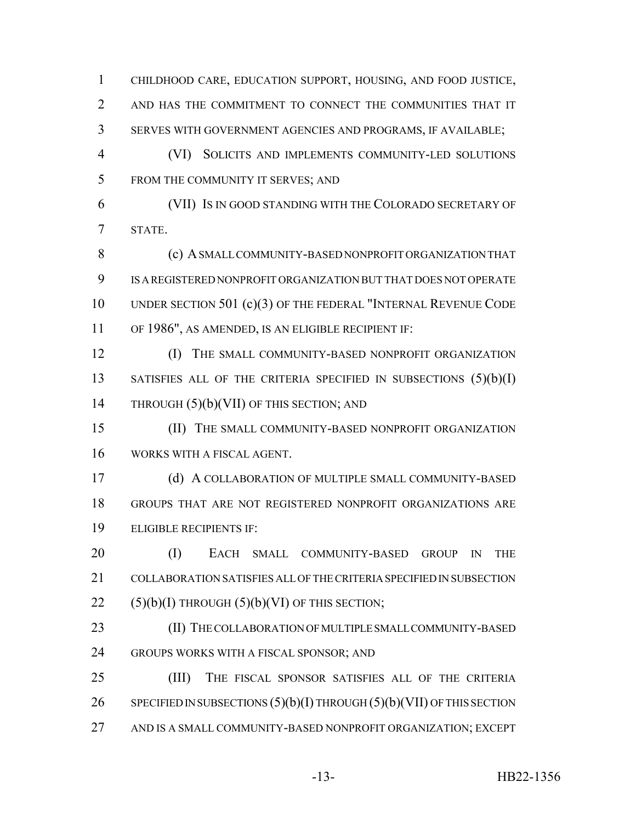CHILDHOOD CARE, EDUCATION SUPPORT, HOUSING, AND FOOD JUSTICE, AND HAS THE COMMITMENT TO CONNECT THE COMMUNITIES THAT IT SERVES WITH GOVERNMENT AGENCIES AND PROGRAMS, IF AVAILABLE; (VI) SOLICITS AND IMPLEMENTS COMMUNITY-LED SOLUTIONS FROM THE COMMUNITY IT SERVES; AND (VII) IS IN GOOD STANDING WITH THE COLORADO SECRETARY OF STATE. (c) A SMALL COMMUNITY-BASED NONPROFIT ORGANIZATION THAT IS A REGISTERED NONPROFIT ORGANIZATION BUT THAT DOES NOT OPERATE UNDER SECTION 501 (c)(3) OF THE FEDERAL "INTERNAL REVENUE CODE OF 1986", AS AMENDED, IS AN ELIGIBLE RECIPIENT IF: **(I)** THE SMALL COMMUNITY-BASED NONPROFIT ORGANIZATION 13 SATISFIES ALL OF THE CRITERIA SPECIFIED IN SUBSECTIONS (5)(b)(I) 14 THROUGH (5)(b)(VII) OF THIS SECTION; AND (II) THE SMALL COMMUNITY-BASED NONPROFIT ORGANIZATION WORKS WITH A FISCAL AGENT. (d) A COLLABORATION OF MULTIPLE SMALL COMMUNITY-BASED GROUPS THAT ARE NOT REGISTERED NONPROFIT ORGANIZATIONS ARE ELIGIBLE RECIPIENTS IF: (I) EACH SMALL COMMUNITY-BASED GROUP IN THE COLLABORATION SATISFIES ALL OF THE CRITERIA SPECIFIED IN SUBSECTION  $(5)(b)(I)$  THROUGH  $(5)(b)(VI)$  OF THIS SECTION; (II) THE COLLABORATION OF MULTIPLE SMALL COMMUNITY-BASED GROUPS WORKS WITH A FISCAL SPONSOR; AND

 (III) THE FISCAL SPONSOR SATISFIES ALL OF THE CRITERIA 26 SPECIFIED IN SUBSECTIONS  $(5)(b)(I)$  THROUGH  $(5)(b)(VII)$  OF THIS SECTION AND IS A SMALL COMMUNITY-BASED NONPROFIT ORGANIZATION; EXCEPT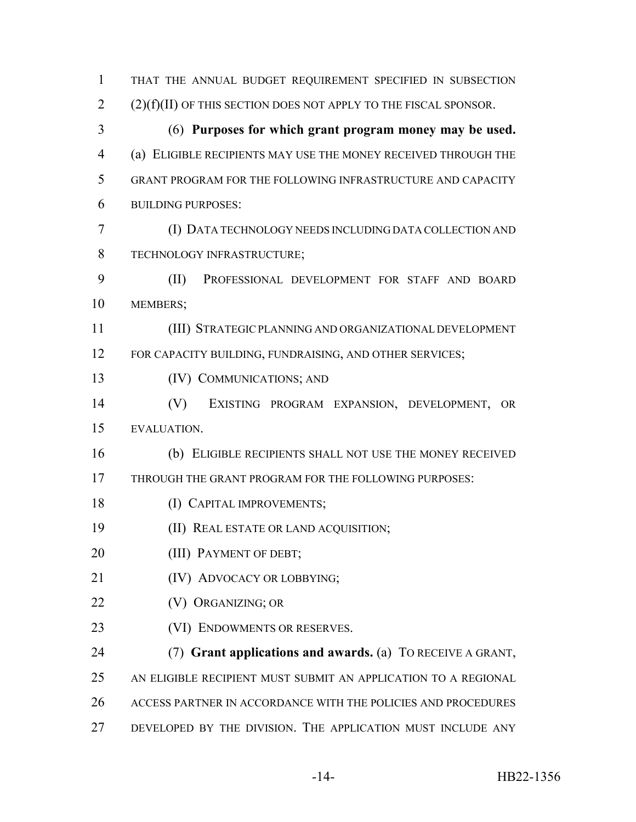| 1  | THAT THE ANNUAL BUDGET REQUIREMENT SPECIFIED IN SUBSECTION         |
|----|--------------------------------------------------------------------|
| 2  | $(2)(f)(II)$ OF THIS SECTION DOES NOT APPLY TO THE FISCAL SPONSOR. |
| 3  | (6) Purposes for which grant program money may be used.            |
| 4  | (a) ELIGIBLE RECIPIENTS MAY USE THE MONEY RECEIVED THROUGH THE     |
| 5  | GRANT PROGRAM FOR THE FOLLOWING INFRASTRUCTURE AND CAPACITY        |
| 6  | <b>BUILDING PURPOSES:</b>                                          |
| 7  | (I) DATA TECHNOLOGY NEEDS INCLUDING DATA COLLECTION AND            |
| 8  | TECHNOLOGY INFRASTRUCTURE;                                         |
| 9  | (II)<br>PROFESSIONAL DEVELOPMENT FOR STAFF AND BOARD               |
| 10 | MEMBERS;                                                           |
| 11 | (III) STRATEGIC PLANNING AND ORGANIZATIONAL DEVELOPMENT            |
| 12 | FOR CAPACITY BUILDING, FUNDRAISING, AND OTHER SERVICES;            |
| 13 | (IV) COMMUNICATIONS; AND                                           |
| 14 | (V)<br>EXISTING PROGRAM EXPANSION, DEVELOPMENT,<br>- OR            |
| 15 | EVALUATION.                                                        |
| 16 | (b) ELIGIBLE RECIPIENTS SHALL NOT USE THE MONEY RECEIVED           |
| 17 | THROUGH THE GRANT PROGRAM FOR THE FOLLOWING PURPOSES:              |
| 18 | (I) CAPITAL IMPROVEMENTS;                                          |
| 19 | (II) REAL ESTATE OR LAND ACQUISITION;                              |
| 20 | (III) PAYMENT OF DEBT;                                             |
| 21 | (IV) ADVOCACY OR LOBBYING;                                         |
| 22 | (V) ORGANIZING; OR                                                 |
| 23 | (VI) ENDOWMENTS OR RESERVES.                                       |
| 24 | (7) Grant applications and awards. (a) TO RECEIVE A GRANT,         |
| 25 | AN ELIGIBLE RECIPIENT MUST SUBMIT AN APPLICATION TO A REGIONAL     |
| 26 | ACCESS PARTNER IN ACCORDANCE WITH THE POLICIES AND PROCEDURES      |
| 27 | DEVELOPED BY THE DIVISION. THE APPLICATION MUST INCLUDE ANY        |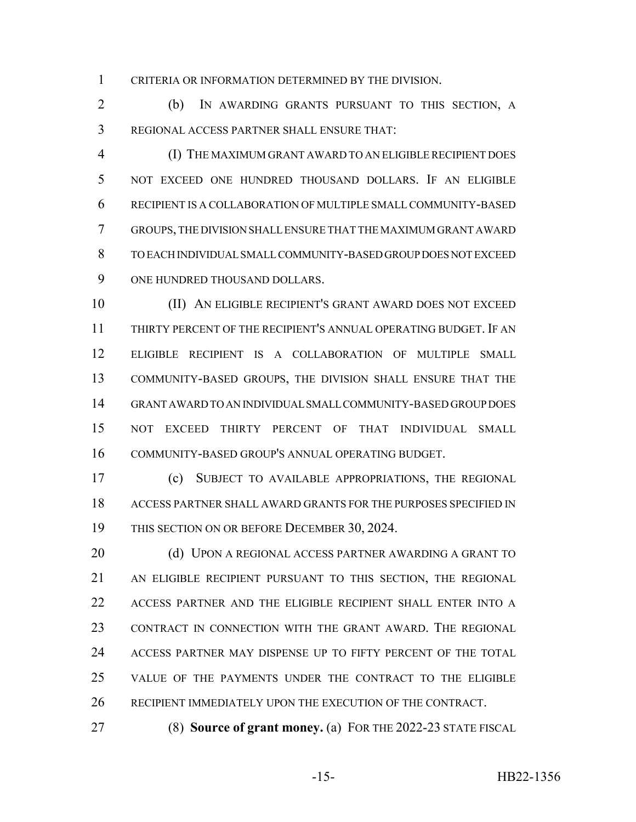CRITERIA OR INFORMATION DETERMINED BY THE DIVISION.

 (b) IN AWARDING GRANTS PURSUANT TO THIS SECTION, A REGIONAL ACCESS PARTNER SHALL ENSURE THAT:

 (I) THE MAXIMUM GRANT AWARD TO AN ELIGIBLE RECIPIENT DOES NOT EXCEED ONE HUNDRED THOUSAND DOLLARS. IF AN ELIGIBLE RECIPIENT IS A COLLABORATION OF MULTIPLE SMALL COMMUNITY-BASED GROUPS, THE DIVISION SHALL ENSURE THAT THE MAXIMUM GRANT AWARD TO EACH INDIVIDUAL SMALL COMMUNITY-BASED GROUP DOES NOT EXCEED ONE HUNDRED THOUSAND DOLLARS.

 (II) AN ELIGIBLE RECIPIENT'S GRANT AWARD DOES NOT EXCEED THIRTY PERCENT OF THE RECIPIENT'S ANNUAL OPERATING BUDGET. IF AN ELIGIBLE RECIPIENT IS A COLLABORATION OF MULTIPLE SMALL COMMUNITY-BASED GROUPS, THE DIVISION SHALL ENSURE THAT THE GRANT AWARD TO AN INDIVIDUAL SMALL COMMUNITY-BASED GROUP DOES NOT EXCEED THIRTY PERCENT OF THAT INDIVIDUAL SMALL COMMUNITY-BASED GROUP'S ANNUAL OPERATING BUDGET.

 (c) SUBJECT TO AVAILABLE APPROPRIATIONS, THE REGIONAL ACCESS PARTNER SHALL AWARD GRANTS FOR THE PURPOSES SPECIFIED IN 19 THIS SECTION ON OR BEFORE DECEMBER 30, 2024.

20 (d) UPON A REGIONAL ACCESS PARTNER AWARDING A GRANT TO AN ELIGIBLE RECIPIENT PURSUANT TO THIS SECTION, THE REGIONAL ACCESS PARTNER AND THE ELIGIBLE RECIPIENT SHALL ENTER INTO A CONTRACT IN CONNECTION WITH THE GRANT AWARD. THE REGIONAL ACCESS PARTNER MAY DISPENSE UP TO FIFTY PERCENT OF THE TOTAL VALUE OF THE PAYMENTS UNDER THE CONTRACT TO THE ELIGIBLE RECIPIENT IMMEDIATELY UPON THE EXECUTION OF THE CONTRACT.

(8) **Source of grant money.** (a) FOR THE 2022-23 STATE FISCAL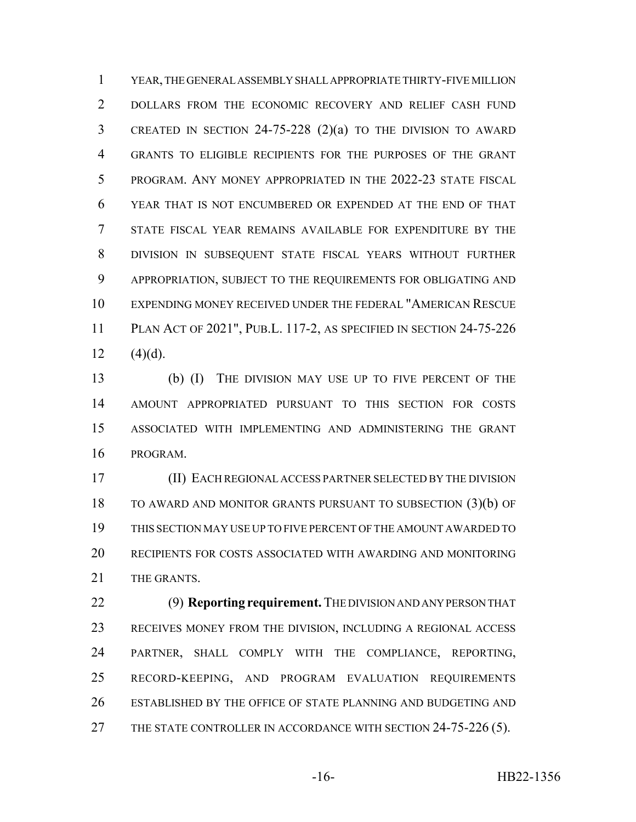YEAR, THE GENERAL ASSEMBLY SHALL APPROPRIATE THIRTY-FIVE MILLION DOLLARS FROM THE ECONOMIC RECOVERY AND RELIEF CASH FUND CREATED IN SECTION 24-75-228 (2)(a) TO THE DIVISION TO AWARD GRANTS TO ELIGIBLE RECIPIENTS FOR THE PURPOSES OF THE GRANT PROGRAM. ANY MONEY APPROPRIATED IN THE 2022-23 STATE FISCAL YEAR THAT IS NOT ENCUMBERED OR EXPENDED AT THE END OF THAT STATE FISCAL YEAR REMAINS AVAILABLE FOR EXPENDITURE BY THE DIVISION IN SUBSEQUENT STATE FISCAL YEARS WITHOUT FURTHER APPROPRIATION, SUBJECT TO THE REQUIREMENTS FOR OBLIGATING AND EXPENDING MONEY RECEIVED UNDER THE FEDERAL "AMERICAN RESCUE PLAN ACT OF 2021", PUB.L. 117-2, AS SPECIFIED IN SECTION 24-75-226 12  $(4)(d)$ .

 (b) (I) THE DIVISION MAY USE UP TO FIVE PERCENT OF THE AMOUNT APPROPRIATED PURSUANT TO THIS SECTION FOR COSTS ASSOCIATED WITH IMPLEMENTING AND ADMINISTERING THE GRANT PROGRAM.

 (II) EACH REGIONAL ACCESS PARTNER SELECTED BY THE DIVISION TO AWARD AND MONITOR GRANTS PURSUANT TO SUBSECTION (3)(b) OF THIS SECTION MAY USE UP TO FIVE PERCENT OF THE AMOUNT AWARDED TO RECIPIENTS FOR COSTS ASSOCIATED WITH AWARDING AND MONITORING 21 THE GRANTS.

 (9) **Reporting requirement.** THE DIVISION AND ANY PERSON THAT RECEIVES MONEY FROM THE DIVISION, INCLUDING A REGIONAL ACCESS PARTNER, SHALL COMPLY WITH THE COMPLIANCE, REPORTING, RECORD-KEEPING, AND PROGRAM EVALUATION REQUIREMENTS ESTABLISHED BY THE OFFICE OF STATE PLANNING AND BUDGETING AND 27 THE STATE CONTROLLER IN ACCORDANCE WITH SECTION 24-75-226 (5).